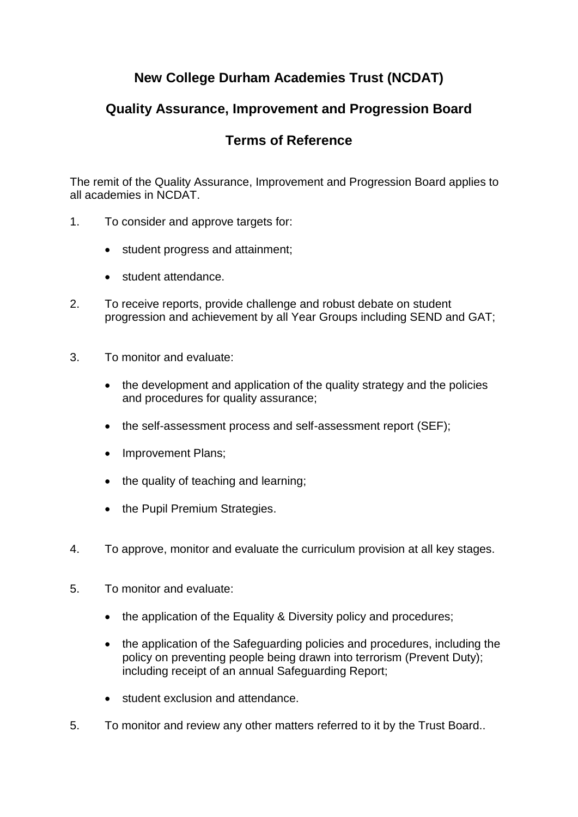## **New College Durham Academies Trust (NCDAT)**

## **Quality Assurance, Improvement and Progression Board**

## **Terms of Reference**

The remit of the Quality Assurance, Improvement and Progression Board applies to all academies in NCDAT.

- 1. To consider and approve targets for:
	- student progress and attainment;
	- student attendance.
- 2. To receive reports, provide challenge and robust debate on student progression and achievement by all Year Groups including SEND and GAT;
- 3. To monitor and evaluate:
	- the development and application of the quality strategy and the policies and procedures for quality assurance;
	- the self-assessment process and self-assessment report (SEF);
	- Improvement Plans;
	- the quality of teaching and learning;
	- the Pupil Premium Strategies.
- 4. To approve, monitor and evaluate the curriculum provision at all key stages.
- 5. To monitor and evaluate:
	- the application of the Equality & Diversity policy and procedures;
	- the application of the Safeguarding policies and procedures, including the policy on preventing people being drawn into terrorism (Prevent Duty); including receipt of an annual Safeguarding Report;
	- student exclusion and attendance.
- 5. To monitor and review any other matters referred to it by the Trust Board..